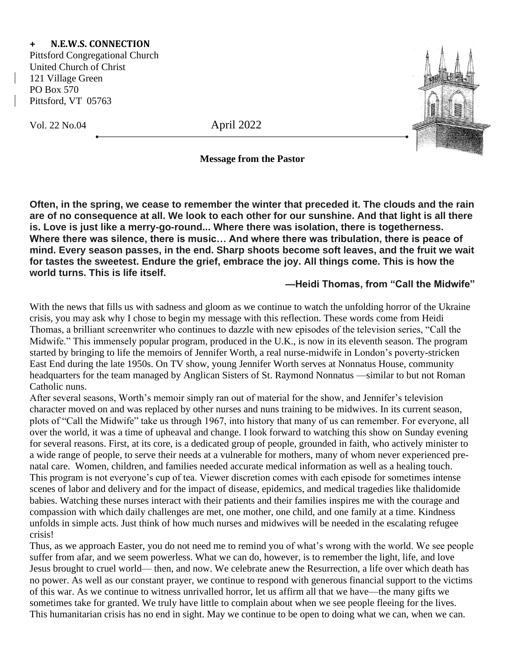## **+ N.E.W.S. CONNECTION**

Pittsford Congregational Church United Church of Christ 121 Village Green PO Box 570 Pittsford, VT 05763

Vol. 22 No.04 April 2022





## **Message from the Pastor**

**Often, in the spring, we cease to remember the winter that preceded it. The clouds and the rain are of no consequence at all. We look to each other for our sunshine. And that light is all there is. Love is just like a merry-go-round... Where there was isolation, there is togetherness. Where there was silence, there is music… And where there was tribulation, there is peace of mind. Every season passes, in the end. Sharp shoots become soft leaves, and the fruit we wait for tastes the sweetest. Endure the grief, embrace the joy. All things come. This is how the world turns. This is life itself.**

## **—Heidi Thomas, from "Call the Midwife"**

With the news that fills us with sadness and gloom as we continue to watch the unfolding horror of the Ukraine crisis, you may ask why I chose to begin my message with this reflection. These words come from Heidi Thomas, a brilliant screenwriter who continues to dazzle with new episodes of the television series, "Call the Midwife." This immensely popular program, produced in the U.K., is now in its eleventh season. The program started by bringing to life the memoirs of Jennifer Worth, a real nurse-midwife in London's poverty-stricken East End during the late 1950s. On TV show, young Jennifer Worth serves at Nonnatus House, community headquarters for the team managed by Anglican Sisters of St. Raymond Nonnatus —similar to but not Roman Catholic nuns.

After several seasons, Worth's memoir simply ran out of material for the show, and Jennifer's television character moved on and was replaced by other nurses and nuns training to be midwives. In its current season, plots of "Call the Midwife" take us through 1967, into history that many of us can remember. For everyone, all over the world, it was a time of upheaval and change. I look forward to watching this show on Sunday evening for several reasons. First, at its core, is a dedicated group of people, grounded in faith, who actively minister to a wide range of people, to serve their needs at a vulnerable for mothers, many of whom never experienced prenatal care. Women, children, and families needed accurate medical information as well as a healing touch. This program is not everyone's cup of tea. Viewer discretion comes with each episode for sometimes intense scenes of labor and delivery and for the impact of disease, epidemics, and medical tragedies like thalidomide babies. Watching these nurses interact with their patients and their families inspires me with the courage and compassion with which daily challenges are met, one mother, one child, and one family at a time. Kindness unfolds in simple acts. Just think of how much nurses and midwives will be needed in the escalating refugee crisis!

Thus, as we approach Easter, you do not need me to remind you of what's wrong with the world. We see people suffer from afar, and we seem powerless. What we can do, however, is to remember the light, life, and love Jesus brought to cruel world— then, and now. We celebrate anew the Resurrection, a life over which death has no power. As well as our constant prayer, we continue to respond with generous financial support to the victims of this war. As we continue to witness unrivalled horror, let us affirm all that we have—the many gifts we sometimes take for granted. We truly have little to complain about when we see people fleeing for the lives. This humanitarian crisis has no end in sight. May we continue to be open to doing what we can, when we can.